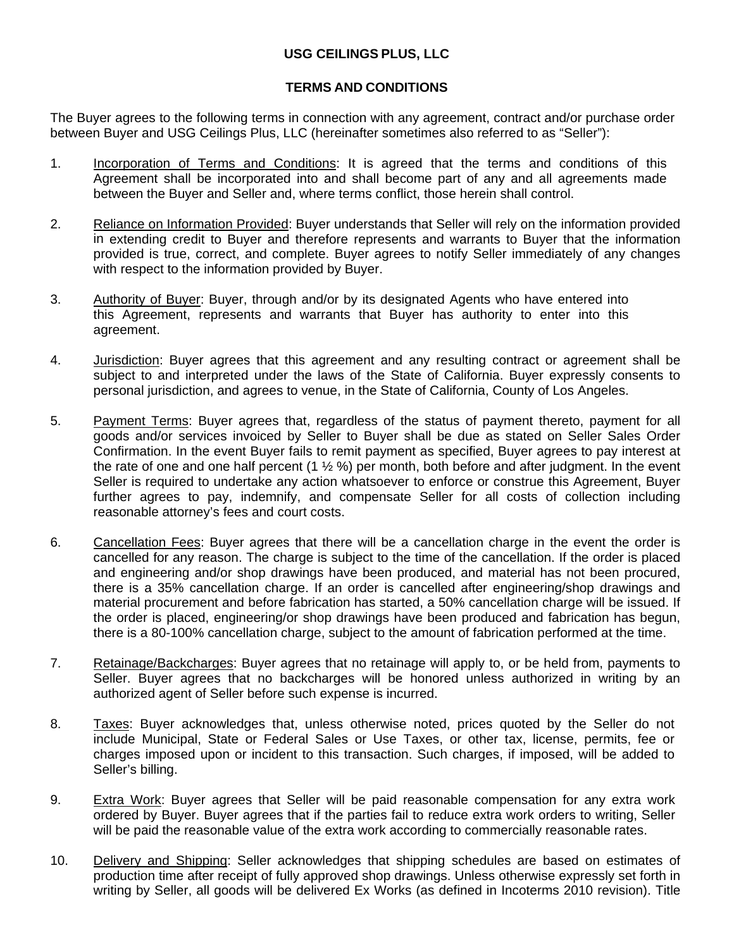## **USG CEILINGS PLUS, LLC**

## **TERMS AND CONDITIONS**

The Buyer agrees to the following terms in connection with any agreement, contract and/or purchase order between Buyer and USG Ceilings Plus, LLC (hereinafter sometimes also referred to as "Seller"):

- 1. Incorporation of Terms and Conditions: It is agreed that the terms and conditions of this Agreement shall be incorporated into and shall become part of any and all agreements made between the Buyer and Seller and, where terms conflict, those herein shall control.
- 2. Reliance on Information Provided: Buyer understands that Seller will rely on the information provided in extending credit to Buyer and therefore represents and warrants to Buyer that the information provided is true, correct, and complete. Buyer agrees to notify Seller immediately of any changes with respect to the information provided by Buyer.
- 3. Authority of Buyer: Buyer, through and/or by its designated Agents who have entered into this Agreement, represents and warrants that Buyer has authority to enter into this agreement.
- 4. Jurisdiction: Buyer agrees that this agreement and any resulting contract or agreement shall be subject to and interpreted under the laws of the State of California. Buyer expressly consents to personal jurisdiction, and agrees to venue, in the State of California, County of Los Angeles.
- 5. Payment Terms: Buyer agrees that, regardless of the status of payment thereto, payment for all goods and/or services invoiced by Seller to Buyer shall be due as stated on Seller Sales Order Confirmation. In the event Buyer fails to remit payment as specified, Buyer agrees to pay interest at the rate of one and one half percent (1 ½ %) per month, both before and after judgment. In the event Seller is required to undertake any action whatsoever to enforce or construe this Agreement, Buyer further agrees to pay, indemnify, and compensate Seller for all costs of collection including reasonable attorney's fees and court costs.
- 6. Cancellation Fees: Buyer agrees that there will be a cancellation charge in the event the order is cancelled for any reason. The charge is subject to the time of the cancellation. If the order is placed and engineering and/or shop drawings have been produced, and material has not been procured, there is a 35% cancellation charge. If an order is cancelled after engineering/shop drawings and material procurement and before fabrication has started, a 50% cancellation charge will be issued. If the order is placed, engineering/or shop drawings have been produced and fabrication has begun, there is a 80-100% cancellation charge, subject to the amount of fabrication performed at the time.
- 7. Retainage/Backcharges: Buyer agrees that no retainage will apply to, or be held from, payments to Seller. Buyer agrees that no backcharges will be honored unless authorized in writing by an authorized agent of Seller before such expense is incurred.
- 8. Taxes: Buyer acknowledges that, unless otherwise noted, prices quoted by the Seller do not include Municipal, State or Federal Sales or Use Taxes, or other tax, license, permits, fee or charges imposed upon or incident to this transaction. Such charges, if imposed, will be added to Seller's billing.
- 9. Extra Work: Buyer agrees that Seller will be paid reasonable compensation for any extra work ordered by Buyer. Buyer agrees that if the parties fail to reduce extra work orders to writing, Seller will be paid the reasonable value of the extra work according to commercially reasonable rates.
- 10. Delivery and Shipping: Seller acknowledges that shipping schedules are based on estimates of production time after receipt of fully approved shop drawings. Unless otherwise expressly set forth in writing by Seller, all goods will be delivered Ex Works (as defined in Incoterms 2010 revision). Title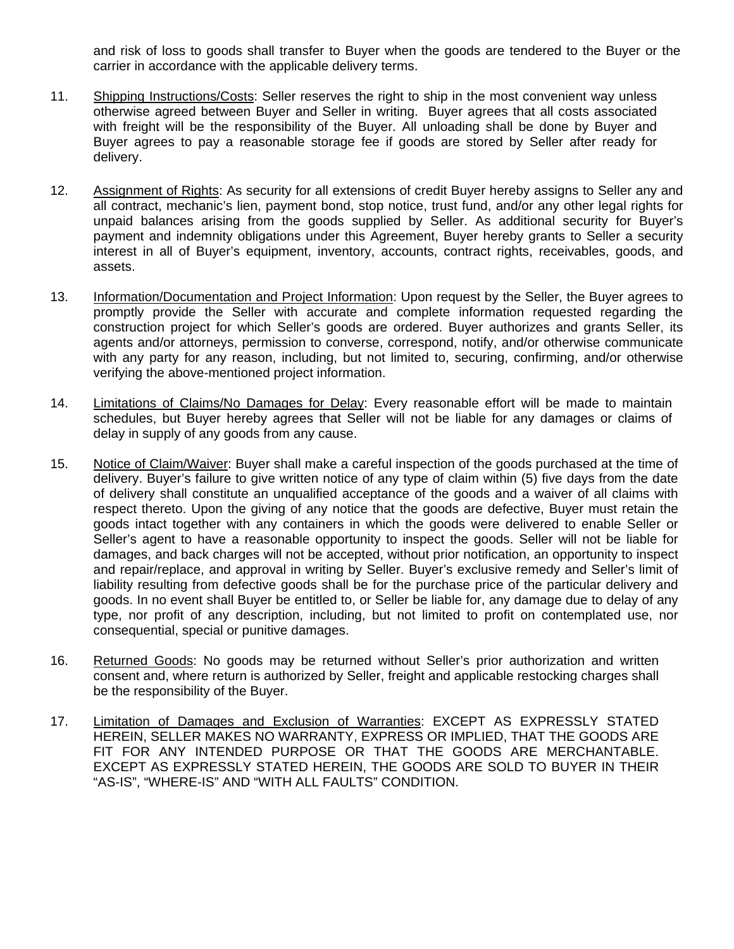and risk of loss to goods shall transfer to Buyer when the goods are tendered to the Buyer or the carrier in accordance with the applicable delivery terms.

- 11. Shipping Instructions/Costs: Seller reserves the right to ship in the most convenient way unless otherwise agreed between Buyer and Seller in writing. Buyer agrees that all costs associated with freight will be the responsibility of the Buyer. All unloading shall be done by Buyer and Buyer agrees to pay a reasonable storage fee if goods are stored by Seller after ready for delivery.
- 12. Assignment of Rights: As security for all extensions of credit Buyer hereby assigns to Seller any and all contract, mechanic's lien, payment bond, stop notice, trust fund, and/or any other legal rights for unpaid balances arising from the goods supplied by Seller. As additional security for Buyer's payment and indemnity obligations under this Agreement, Buyer hereby grants to Seller a security interest in all of Buyer's equipment, inventory, accounts, contract rights, receivables, goods, and assets.
- 13. Information/Documentation and Project Information: Upon request by the Seller, the Buyer agrees to promptly provide the Seller with accurate and complete information requested regarding the construction project for which Seller's goods are ordered. Buyer authorizes and grants Seller, its agents and/or attorneys, permission to converse, correspond, notify, and/or otherwise communicate with any party for any reason, including, but not limited to, securing, confirming, and/or otherwise verifying the above-mentioned project information.
- 14. Limitations of Claims/No Damages for Delay: Every reasonable effort will be made to maintain schedules, but Buyer hereby agrees that Seller will not be liable for any damages or claims of delay in supply of any goods from any cause.
- 15. Notice of Claim/Waiver: Buyer shall make a careful inspection of the goods purchased at the time of delivery. Buyer's failure to give written notice of any type of claim within (5) five days from the date of delivery shall constitute an unqualified acceptance of the goods and a waiver of all claims with respect thereto. Upon the giving of any notice that the goods are defective, Buyer must retain the goods intact together with any containers in which the goods were delivered to enable Seller or Seller's agent to have a reasonable opportunity to inspect the goods. Seller will not be liable for damages, and back charges will not be accepted, without prior notification, an opportunity to inspect and repair/replace, and approval in writing by Seller. Buyer's exclusive remedy and Seller's limit of liability resulting from defective goods shall be for the purchase price of the particular delivery and goods. In no event shall Buyer be entitled to, or Seller be liable for, any damage due to delay of any type, nor profit of any description, including, but not limited to profit on contemplated use, nor consequential, special or punitive damages.
- 16. Returned Goods: No goods may be returned without Seller's prior authorization and written consent and, where return is authorized by Seller, freight and applicable restocking charges shall be the responsibility of the Buyer.
- 17. Limitation of Damages and Exclusion of Warranties: EXCEPT AS EXPRESSLY STATED HEREIN, SELLER MAKES NO WARRANTY, EXPRESS OR IMPLIED, THAT THE GOODS ARE FIT FOR ANY INTENDED PURPOSE OR THAT THE GOODS ARE MERCHANTABLE. EXCEPT AS EXPRESSLY STATED HEREIN, THE GOODS ARE SOLD TO BUYER IN THEIR "AS-IS", "WHERE-IS" AND "WITH ALL FAULTS" CONDITION.